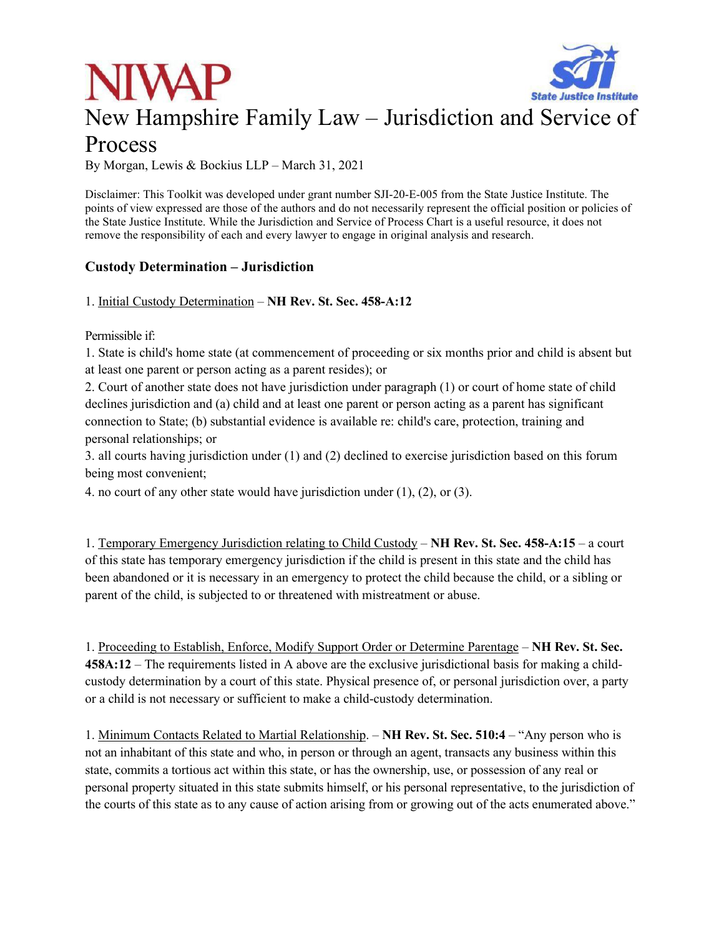



# New Hampshire Family Law – Jurisdiction and Service of

## Process

By Morgan, Lewis & Bockius LLP – March 31, 2021

Disclaimer: This Toolkit was developed under grant number SJI-20-E-005 from the State Justice Institute. The points of view expressed are those of the authors and do not necessarily represent the official position or policies of the State Justice Institute. While the Jurisdiction and Service of Process Chart is a useful resource, it does not remove the responsibility of each and every lawyer to engage in original analysis and research.

#### **Custody Determination – Jurisdiction**

1. Initial Custody Determination – **NH Rev. St. Sec. 458-A:12**

Permissible if:

1. State is child's home state (at commencement of proceeding or six months prior and child is absent but at least one parent or person acting as a parent resides); or

2. Court of another state does not have jurisdiction under paragraph (1) or court of home state of child declines jurisdiction and (a) child and at least one parent or person acting as a parent has significant connection to State; (b) substantial evidence is available re: child's care, protection, training and personal relationships; or

3. all courts having jurisdiction under (1) and (2) declined to exercise jurisdiction based on this forum being most convenient;

4. no court of any other state would have jurisdiction under (1), (2), or (3).

1. Temporary Emergency Jurisdiction relating to Child Custody – **NH Rev. St. Sec. 458-A:15** – a court of this state has temporary emergency jurisdiction if the child is present in this state and the child has been abandoned or it is necessary in an emergency to protect the child because the child, or a sibling or parent of the child, is subjected to or threatened with mistreatment or abuse.

1. Proceeding to Establish, Enforce, Modify Support Order or Determine Parentage – **NH Rev. St. Sec. 458A:12** – The requirements listed in A above are the exclusive jurisdictional basis for making a childcustody determination by a court of this state. Physical presence of, or personal jurisdiction over, a party or a child is not necessary or sufficient to make a child-custody determination.

1. Minimum Contacts Related to Martial Relationship. – **NH Rev. St. Sec. 510:4** – "Any person who is not an inhabitant of this state and who, in person or through an agent, transacts any business within this state, commits a tortious act within this state, or has the ownership, use, or possession of any real or personal property situated in this state submits himself, or his personal representative, to the jurisdiction of the courts of this state as to any cause of action arising from or growing out of the acts enumerated above."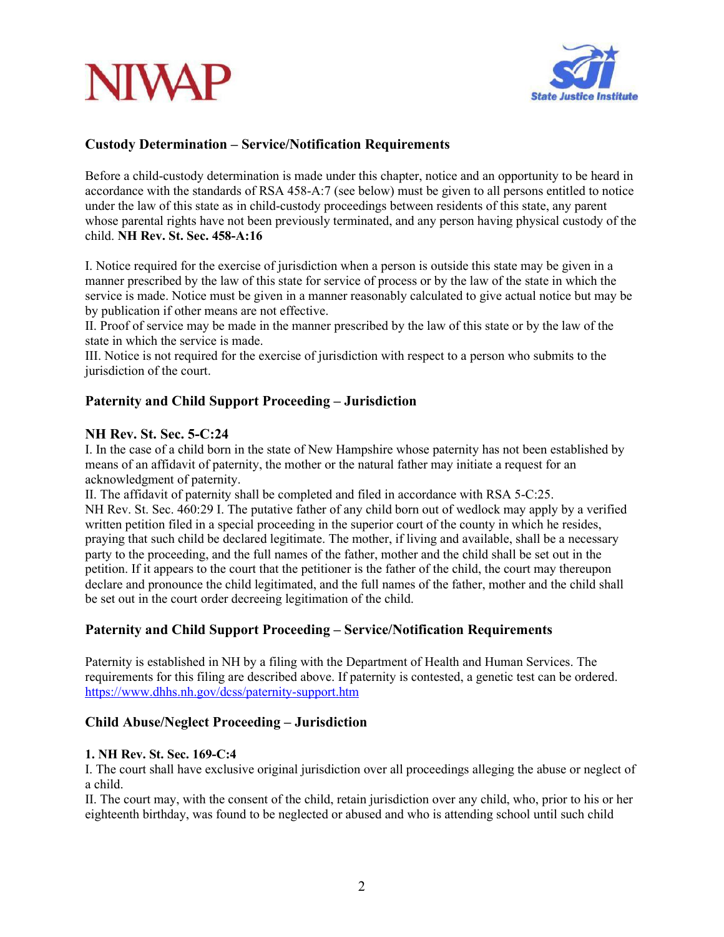# **NIVAF**



#### **Custody Determination – Service/Notification Requirements**

Before a child-custody determination is made under this chapter, notice and an opportunity to be heard in accordance with the standards of RSA 458-A:7 (see below) must be given to all persons entitled to notice under the law of this state as in child-custody proceedings between residents of this state, any parent whose parental rights have not been previously terminated, and any person having physical custody of the child. **NH Rev. St. Sec. 458-A:16** 

I. Notice required for the exercise of jurisdiction when a person is outside this state may be given in a manner prescribed by the law of this state for service of process or by the law of the state in which the service is made. Notice must be given in a manner reasonably calculated to give actual notice but may be by publication if other means are not effective.

II. Proof of service may be made in the manner prescribed by the law of this state or by the law of the state in which the service is made.

III. Notice is not required for the exercise of jurisdiction with respect to a person who submits to the jurisdiction of the court.

#### **Paternity and Child Support Proceeding – Jurisdiction**

#### **NH Rev. St. Sec. 5-C:24**

I. In the case of a child born in the state of New Hampshire whose paternity has not been established by means of an affidavit of paternity, the mother or the natural father may initiate a request for an acknowledgment of paternity.

II. The affidavit of paternity shall be completed and filed in accordance with RSA 5-C:25. NH Rev. St. Sec. 460:29 I. The putative father of any child born out of wedlock may apply by a verified written petition filed in a special proceeding in the superior court of the county in which he resides, praying that such child be declared legitimate. The mother, if living and available, shall be a necessary party to the proceeding, and the full names of the father, mother and the child shall be set out in the petition. If it appears to the court that the petitioner is the father of the child, the court may thereupon declare and pronounce the child legitimated, and the full names of the father, mother and the child shall be set out in the court order decreeing legitimation of the child.

#### **Paternity and Child Support Proceeding – Service/Notification Requirements**

Paternity is established in NH by a filing with the Department of Health and Human Services. The requirements for this filing are described above. If paternity is contested, a genetic test can be ordered. https://www.dhhs.nh.gov/dcss/paternity-support.htm

#### **Child Abuse/Neglect Proceeding – Jurisdiction**

#### **1. NH Rev. St. Sec. 169-C:4**

I. The court shall have exclusive original jurisdiction over all proceedings alleging the abuse or neglect of a child.

II. The court may, with the consent of the child, retain jurisdiction over any child, who, prior to his or her eighteenth birthday, was found to be neglected or abused and who is attending school until such child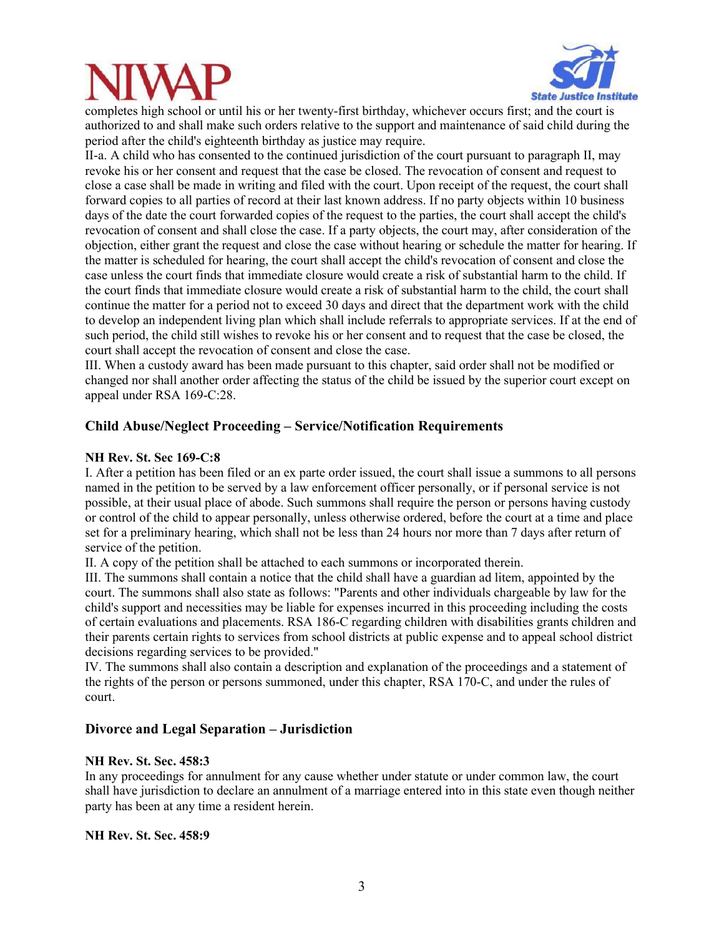



completes high school or until his or her twenty-first birthday, whichever occurs first; and the court is authorized to and shall make such orders relative to the support and maintenance of said child during the period after the child's eighteenth birthday as justice may require.

II-a. A child who has consented to the continued jurisdiction of the court pursuant to paragraph II, may revoke his or her consent and request that the case be closed. The revocation of consent and request to close a case shall be made in writing and filed with the court. Upon receipt of the request, the court shall forward copies to all parties of record at their last known address. If no party objects within 10 business days of the date the court forwarded copies of the request to the parties, the court shall accept the child's revocation of consent and shall close the case. If a party objects, the court may, after consideration of the objection, either grant the request and close the case without hearing or schedule the matter for hearing. If the matter is scheduled for hearing, the court shall accept the child's revocation of consent and close the case unless the court finds that immediate closure would create a risk of substantial harm to the child. If the court finds that immediate closure would create a risk of substantial harm to the child, the court shall continue the matter for a period not to exceed 30 days and direct that the department work with the child to develop an independent living plan which shall include referrals to appropriate services. If at the end of such period, the child still wishes to revoke his or her consent and to request that the case be closed, the court shall accept the revocation of consent and close the case.

III. When a custody award has been made pursuant to this chapter, said order shall not be modified or changed nor shall another order affecting the status of the child be issued by the superior court except on appeal under RSA 169-C:28.

#### **Child Abuse/Neglect Proceeding – Service/Notification Requirements**

#### **NH Rev. St. Sec 169-C:8**

I. After a petition has been filed or an ex parte order issued, the court shall issue a summons to all persons named in the petition to be served by a law enforcement officer personally, or if personal service is not possible, at their usual place of abode. Such summons shall require the person or persons having custody or control of the child to appear personally, unless otherwise ordered, before the court at a time and place set for a preliminary hearing, which shall not be less than 24 hours nor more than 7 days after return of service of the petition.

II. A copy of the petition shall be attached to each summons or incorporated therein.

III. The summons shall contain a notice that the child shall have a guardian ad litem, appointed by the court. The summons shall also state as follows: "Parents and other individuals chargeable by law for the child's support and necessities may be liable for expenses incurred in this proceeding including the costs of certain evaluations and placements. RSA 186-C regarding children with disabilities grants children and their parents certain rights to services from school districts at public expense and to appeal school district decisions regarding services to be provided."

IV. The summons shall also contain a description and explanation of the proceedings and a statement of the rights of the person or persons summoned, under this chapter, RSA 170-C, and under the rules of court.

#### **Divorce and Legal Separation – Jurisdiction**

#### **NH Rev. St. Sec. 458:3**

In any proceedings for annulment for any cause whether under statute or under common law, the court shall have jurisdiction to declare an annulment of a marriage entered into in this state even though neither party has been at any time a resident herein.

#### **NH Rev. St. Sec. 458:9**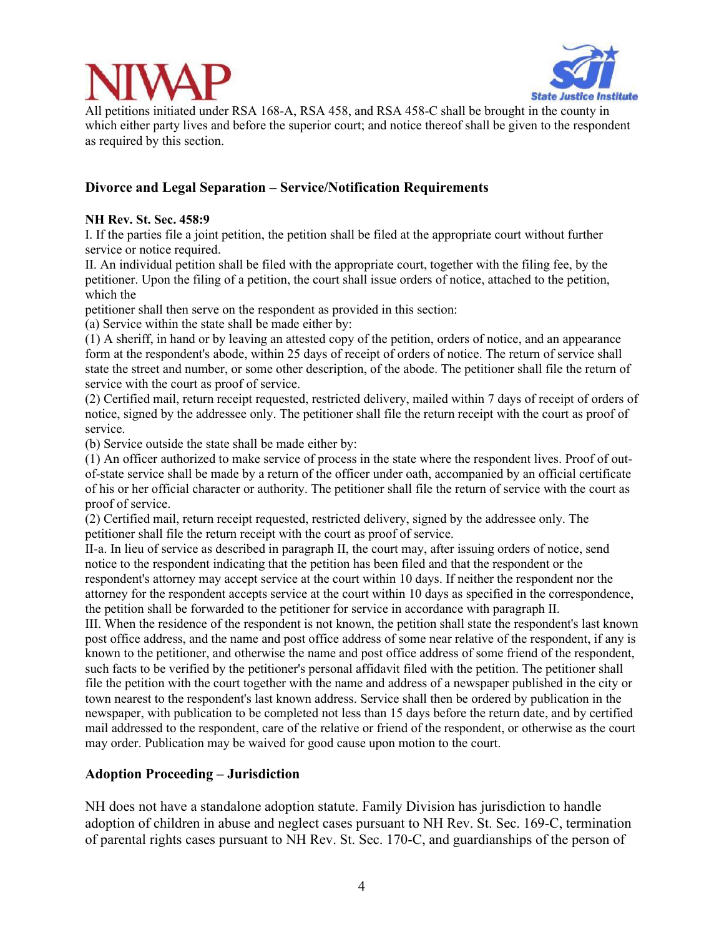



All petitions initiated under RSA 168-A, RSA 458, and RSA 458-C shall be brought in the county in which either party lives and before the superior court; and notice thereof shall be given to the respondent as required by this section.

#### **Divorce and Legal Separation – Service/Notification Requirements**

#### **NH Rev. St. Sec. 458:9**

I. If the parties file a joint petition, the petition shall be filed at the appropriate court without further service or notice required.

II. An individual petition shall be filed with the appropriate court, together with the filing fee, by the petitioner. Upon the filing of a petition, the court shall issue orders of notice, attached to the petition, which the

petitioner shall then serve on the respondent as provided in this section:

(a) Service within the state shall be made either by:

(1) A sheriff, in hand or by leaving an attested copy of the petition, orders of notice, and an appearance form at the respondent's abode, within 25 days of receipt of orders of notice. The return of service shall state the street and number, or some other description, of the abode. The petitioner shall file the return of service with the court as proof of service.

(2) Certified mail, return receipt requested, restricted delivery, mailed within 7 days of receipt of orders of notice, signed by the addressee only. The petitioner shall file the return receipt with the court as proof of service.

(b) Service outside the state shall be made either by:

(1) An officer authorized to make service of process in the state where the respondent lives. Proof of outof-state service shall be made by a return of the officer under oath, accompanied by an official certificate of his or her official character or authority. The petitioner shall file the return of service with the court as proof of service.

(2) Certified mail, return receipt requested, restricted delivery, signed by the addressee only. The petitioner shall file the return receipt with the court as proof of service.

II-a. In lieu of service as described in paragraph II, the court may, after issuing orders of notice, send notice to the respondent indicating that the petition has been filed and that the respondent or the respondent's attorney may accept service at the court within 10 days. If neither the respondent nor the attorney for the respondent accepts service at the court within 10 days as specified in the correspondence, the petition shall be forwarded to the petitioner for service in accordance with paragraph II.

III. When the residence of the respondent is not known, the petition shall state the respondent's last known post office address, and the name and post office address of some near relative of the respondent, if any is known to the petitioner, and otherwise the name and post office address of some friend of the respondent, such facts to be verified by the petitioner's personal affidavit filed with the petition. The petitioner shall file the petition with the court together with the name and address of a newspaper published in the city or town nearest to the respondent's last known address. Service shall then be ordered by publication in the newspaper, with publication to be completed not less than 15 days before the return date, and by certified mail addressed to the respondent, care of the relative or friend of the respondent, or otherwise as the court may order. Publication may be waived for good cause upon motion to the court.

#### **Adoption Proceeding – Jurisdiction**

NH does not have a standalone adoption statute. Family Division has jurisdiction to handle adoption of children in abuse and neglect cases pursuant to NH Rev. St. Sec. 169-C, termination of parental rights cases pursuant to NH Rev. St. Sec. 170-C, and guardianships of the person of